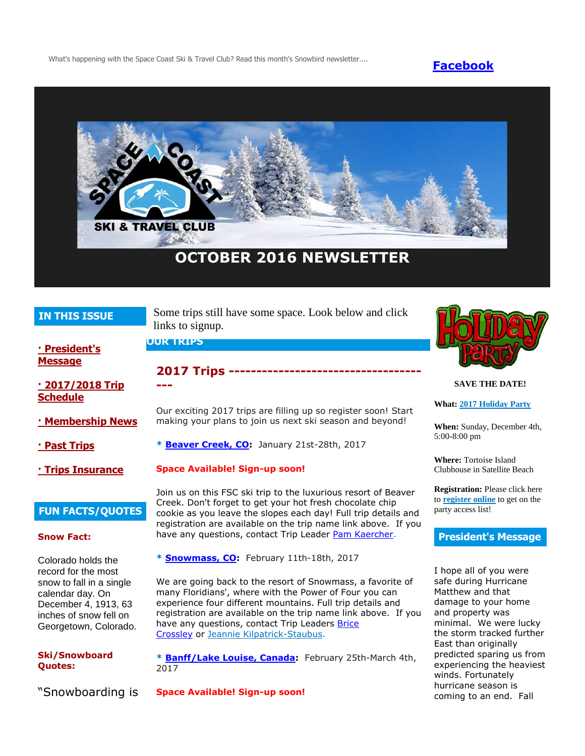What's happening with the Space Coast Ski & Travel Club? Read this month's Snowbird newsletter.... **[Facebook](https://www.facebook.com/pages/Space-Coast-Ski-Club/137991863341)** 



# **OCTOBER 2016 NEWSLETTER**

# **IN THIS ISSUE**

Some trips still have some space. Look below and click links to signup.

**2017 Trips -----------------------------------**

Our exciting 2017 trips are filling up so register soon! Start making your plans to join us next ski season and beyond!

## **OUR TRIPS**

**---**

**[· President's](http://spacecoastskiclub.com/Admin/Settings/Emails/EmailContentProvider.aspx?emailId=50518887#anchor1)  [Message](http://spacecoastskiclub.com/Admin/Settings/Emails/EmailContentProvider.aspx?emailId=50518887#anchor1)**

**[· 2017/2018 Trip](http://spacecoastskiclub.com/Admin/Settings/Emails/EmailContentProvider.aspx?emailId=50518887#anchor2)  [Schedule](http://spacecoastskiclub.com/Admin/Settings/Emails/EmailContentProvider.aspx?emailId=50518887#anchor2)** 

- **[· Membership News](http://spacecoastskiclub.com/Admin/Settings/Emails/EmailContentProvider.aspx?emailId=50518887#anchor3)**
- **[· Past Trips](http://spacecoastskiclub.com/Admin/Settings/Emails/EmailContentProvider.aspx?emailId=50518887#anchor4)**

**[· Trips Insurance](http://spacecoastskiclub.com/Admin/Settings/Emails/EmailContentProvider.aspx?emailId=50518887#anchor3)**

# **FUN FACTS/QUOTES**

### **Snow Fact:**

Colorado holds the record for the most snow to fall in a single calendar day. On December 4, 1913, 63 inches of snow fell on Georgetown, Colorado.

**Ski/Snowboard Quotes:**

"Snowboarding is

**Space Available! Sign-up soon!** Join us on this FSC ski trip to the luxurious resort of Beaver Creek. Don't forget to get your hot fresh chocolate chip cookie as you leave the slopes each day! Full trip details and registration are available on the trip name link above. If you have any questions, contact Trip Leader [Pam Kaercher.](mailto:Pam@spacecoastskiclub.com)

**\* [Beaver Creek, CO:](http://spacecoastskiclub.com/event-2241834)** January 21st-28th, 2017

**\* [Snowmass, CO:](http://spacecoastskiclub.com/event-2278222)** February 11th-18th, 2017

We are going back to the resort of Snowmass, a favorite of many Floridians', where with the Power of Four you can experience four different mountains. Full trip details and registration are available on the trip name link above. If you have any questions, contact Trip Leaders **Brice** [Crossley](mailto:Brice@spacecoastskiclub.com) or [Jeannie Kilpatrick-Staubus.](mailto:Jeannie@spacecoastskiclub.com)

**\* [Banff/Lake Louise, Canada:](http://spacecoastskiclub.com/event-2257100)** February 25th-March 4th, 2017

**Space Available! Sign-up soon!**



### **SAVE THE DATE!**

## **What: [2017 Holiday Party](http://spacecoastskiclub.com/event-2358565)**

**When:** Sunday, December 4th, 5:00-8:00 pm

**Where:** Tortoise Island Clubhouse in Satellite Beach

**Registration:** Please click here to **[register online](http://spacecoastskiclub.com/event-2358565/Registration)** to get on the party access list!

### **President's Message**

I hope all of you were safe during Hurricane Matthew and that damage to your home and property was minimal. We were lucky the storm tracked further East than originally predicted sparing us from experiencing the heaviest winds. Fortunately hurricane season is coming to an end. Fall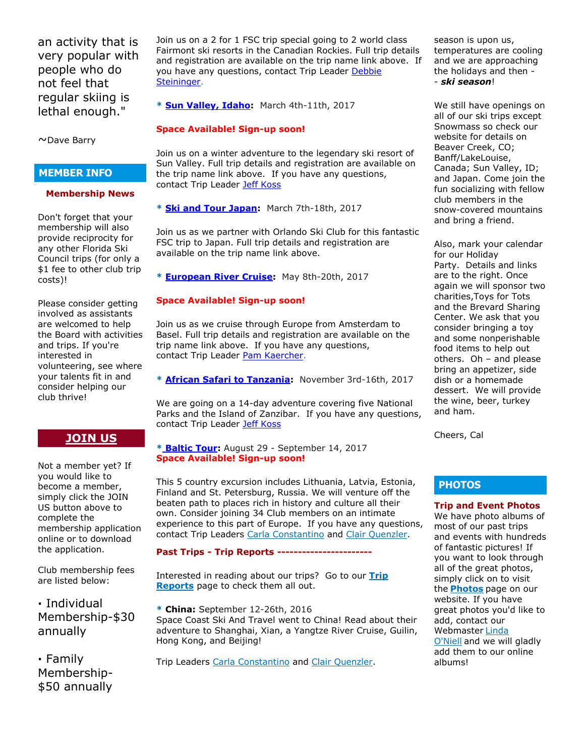an activity that is very popular with people who do not feel that regular skiing is lethal enough."

~Dave Barry

# **MEMBER INFO**

### **Membership News**

Don't forget that your membership will also provide reciprocity for any other Florida Ski Council trips (for only a \$1 fee to other club trip costs)!

Please consider getting involved as assistants are welcomed to help the Board with activities and trips. If you're interested in volunteering, see where your talents fit in and consider helping our club thrive!

# **[JOIN US](http://spacecoastskiclub.com/Join)**

Not a member yet? If you would like to become a member, simply click the JOIN US button above to complete the membership application online or to download the application.

Club membership fees are listed below:

**·** Individual Membership-\$30 annually

**·** Family Membership- \$50 annually Join us on a 2 for 1 FSC trip special going to 2 world class Fairmont ski resorts in the Canadian Rockies. Full trip details and registration are available on the trip name link above. If you have any questions, contact Trip Leader Debbie [Steininger.](mailto:dsteininger@cfl.rr.com)

**\* [Sun Valley, Idaho:](http://spacecoastskiclub.com/event-2280066)** March 4th-11th, 2017

# **Space Available! Sign-up soon!**

Join us on a winter adventure to the legendary ski resort of Sun Valley. Full trip details and registration are available on the trip name link above. If you have any questions, contact Trip Leader [Jeff Koss](mailto:kaoshome@earthlink.net)

**\* [Ski and Tour Japan:](http://spacecoastskiclub.com/event-2298339)** March 7th-18th, 2017

Join us as we partner with Orlando Ski Club for this fantastic FSC trip to Japan. Full trip details and registration are available on the trip name link above.

**\* [European River Cruise:](http://spacecoastskiclub.com/event-2229276)** May 8th-20th, 2017

# **Space Available! Sign-up soon!**

Join us as we cruise through Europe from Amsterdam to Basel. Full trip details and registration are available on the trip name link above. If you have any questions, contact Trip Leader [Pam Kaercher.](mailto:Pam@spacecoastskiclub.com)

**\* [African Safari to Tanzania:](http://spacecoastskiclub.com/event-2313660)** November 3rd-16th, 2017

We are going on a 14-day adventure covering five National Parks and the Island of Zanzibar. If you have any questions, contact Trip Leader [Jeff Koss](mailto:kaoshome@earthlink.net)

# **\* [Baltic Tour:](http://spacecoastskiclub.com/event-2364978)** August 29 - September 14, 2017 **Space Available! Sign-up soon!**

This 5 country excursion includes Lithuania, Latvia, Estonia, Finland and St. Petersburg, Russia. We will venture off the beaten path to places rich in history and culture all their own. Consider joining 34 Club members on an intimate experience to this part of Europe. If you have any questions, contact Trip Leaders [Carla Constantino](mailto:Carla@SpaceCoastSkiClub.com) and [Clair Quenzler.](mailto:clairqski@aol.com)

**Past Trips - Trip Reports -----------------------**

Interested in reading about our trips? Go to our **[Trip](http://spacecoastskiclub.com/PastTrips)  [Reports](http://spacecoastskiclub.com/PastTrips)** page to check them all out.

**\* China:** September 12-26th, 2016 Space Coast Ski And Travel went to China! Read about their adventure to Shanghai, Xian, a Yangtze River Cruise, Guilin, Hong Kong, and Beijing!

Trip Leaders [Carla Constantino](mailto:Carla@SpaceCoastSkiClub.com) and [Clair Quenzler.](mailto:clairqski@aol.com)

season is upon us, temperatures are cooling and we are approaching the holidays and then - - *ski season*!

We still have openings on all of our ski trips except Snowmass so check our website for details on Beaver Creek, CO; Banff/LakeLouise, Canada; Sun Valley, ID; and Japan. Come join the fun socializing with fellow club members in the snow-covered mountains and bring a friend.

Also, mark your calendar for our Holiday Party. Details and links are to the right. Once again we will sponsor two charities,Toys for Tots and the Brevard Sharing Center. We ask that you consider bringing a toy and some nonperishable food items to help out others. Oh – and please bring an appetizer, side dish or a homemade dessert. We will provide the wine, beer, turkey and ham.

Cheers, Cal

# **PHOTOS**

# **Trip and Event Photos**

We have photo albums of most of our past trips and events with hundreds of fantastic pictures! If you want to look through all of the great photos, simply click on to visit the **[Photos](http://spacecoastskiclub.com/Default.aspx?pageId=1628252)** page on our website. If you have great photos you'd like to add, contact our Webmaster Linda [O'Niell](mailto:lrod2127@gmail.com) and we will gladly add them to our online albums!